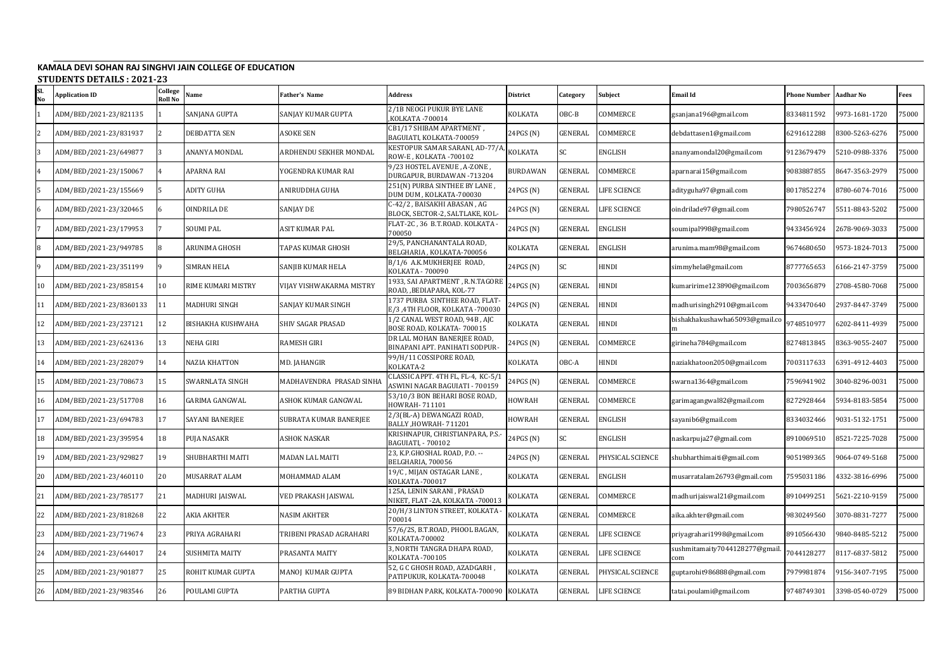## **KAMALA DEVI SOHAN RAJ SINGHVI JAIN COLLEGE OF EDUCATION STUDENTS DETAILS : 2021-23**

| No | JI UDLINIJ DLIMILJ. 2021<br><b>Application ID</b> | College<br>Roll No | Name                  | Father's Name            | <b>Address</b>                                                       | District       | Category       | Subject          | Email Id                              | <b>Phone Number</b> | <b>Aadhar No</b> | Fees  |
|----|---------------------------------------------------|--------------------|-----------------------|--------------------------|----------------------------------------------------------------------|----------------|----------------|------------------|---------------------------------------|---------------------|------------------|-------|
|    | ADM/BED/2021-23/821135                            |                    | SANJANA GUPTA         | SANJAY KUMAR GUPTA       | 2/1B NEOGI PUKUR BYE LANE<br>KOLKATA - 700014                        | KOLKATA        | OBC-B          | COMMERCE         | gsanjana196@gmail.com                 | 8334811592          | 9973-1681-1720   | 75000 |
|    | ADM/BED/2021-23/831937                            |                    | DEBDATTA SEN          | ASOKE SEN                | CB1/17 SHIBAM APARTMENT,<br>BAGUIATI, KOLKATA-700059                 | 24PGS (N)      | <b>GENERAL</b> | COMMERCE         | debdattasen1@gmail.com                | 6291612288          | 8300-5263-6276   | 75000 |
|    | ADM/BED/2021-23/649877                            |                    | ANANYA MONDAL         | ARDHENDU SEKHER MONDAL   | KESTOPUR SAMAR SARANI, AD-77/A<br>ROW-E, KOLKATA -700102             | KOLKATA        | SC             | ENGLISH          | ananyamondal20@gmail.com              | 9123679479          | 5210-0988-3376   | 75000 |
|    | ADM/BED/2021-23/150067                            |                    | APARNA RAI            | YOGENDRA KUMAR RAI       | 9/23 HOSTEL AVENUE, A-ZONE,<br>DURGAPUR, BURDAWAN -713204            | BURDAWAN       | GENERAL        | COMMERCE         | aparnarai15@gmail.com                 | 9083887855          | 8647-3563-2979   | 75000 |
|    | ADM/BED/2021-23/155669                            |                    | ADITY GUHA            | ANIRUDDHA GUHA           | 251(N) PURBA SINTHEE BY LANE,<br>DUM DUM, KOLKATA-700030             | 24PGS (N)      | <b>GENERAL</b> | LIFE SCIENCE     | adityguha97@gmail.com                 | 8017852274          | 8780-6074-7016   | 75000 |
|    | ADM/BED/2021-23/320465                            |                    | OINDRILA DE           | SANJAY DE                | C-42/2, BAISAKHI ABASAN, AG<br>BLOCK, SECTOR-2, SALTLAKE, KOL-       | 24PGS (N)      | <b>GENERAL</b> | LIFE SCIENCE     | oindrilade97@gmail.com                | 7980526747          | 5511-8843-5202   | 75000 |
|    | ADM/BED/2021-23/179953                            |                    | <b>SOUMI PAL</b>      | ASIT KUMAR PAL           | FLAT-2C, 36 B.T.ROAD. KOLKATA -<br>700050                            | 24PGS (N)      | GENERAL        | ENGLISH          | soumipal998@gmail.com                 | 9433456924          | 2678-9069-3033   | 75000 |
| 8  | ADM/BED/2021-23/949785                            |                    | ARUNIMA GHOSH         | TAPAS KUMAR GHOSH        | 29/5, PANCHANANTALA ROAD,<br>BELGHARIA, KOLKATA-700056               | KOLKATA        | <b>GENERAL</b> | ENGLISH          | arunima.mam98@gmail.com               | 9674680650          | 9573-1824-7013   | 75000 |
|    | ADM/BED/2021-23/351199                            |                    | <b>SIMRAN HELA</b>    | SANJIB KUMAR HELA        | B/1/6 A.K.MUKHERJEE ROAD,<br>KOLKATA - 700090                        | 24PGS (N)      | SC             | HINDI            | simmyhela@gmail.com                   | 8777765653          | 6166-2147-3759   | 75000 |
| 10 | ADM/BED/2021-23/858154                            | $10\,$             | RIME KUMARI MISTRY    | VIJAY VISHWAKARMA MISTRY | 1933, SAI APARTMENT, R.N.TAGORE<br>ROAD, BEDIAPARA, KOL-77           | 24PGS (N)      | <b>GENERAL</b> | HINDI            | kumaririme123890@gmail.com            | 7003656879          | 2708-4580-7068   | 75000 |
| 11 | ADM/BED/2021-23/8360133                           | 11                 | MADHURI SINGH         | SANJAY KUMAR SINGH       | 1737 PURBA SINTHEE ROAD, FLAT-<br>E/3,4TH FLOOR, KOLKATA -700030     | 24PGS (N)      | <b>GENERAL</b> | HINDI            | madhurisingh2910@gmail.com            | 9433470640          | 2937-8447-3749   | 75000 |
| 12 | ADM/BED/2021-23/237121                            | 12                 | BISHAKHA KUSHWAHA     | <b>SHIV SAGAR PRASAD</b> | 1/2 CANAL WEST ROAD, 94B, AJC<br>BOSE ROAD, KOLKATA-700015           | <b>KOLKATA</b> | GENERAL        | HINDI            | bishakhakushawha65093@gmail.co        | 9748510977          | 6202-8411-4939   | 75000 |
| 13 | ADM/BED/2021-23/624136                            | 13                 | NEHA GIRI             | RAMESH GIRI              | DR LAL MOHAN BANERJEE ROAD,<br>BINAPANI APT. PANIHATI SODPUR-        | 24PGS (N)      | <b>GENERAL</b> | COMMERCE         | girineha784@gmail.com                 | 8274813845          | 8363-9055-2407   | 75000 |
| 14 | ADM/BED/2021-23/282079                            | 14                 | NAZIA KHATTON         | MD. JAHANGIR             | 99/H/11 COSSIPORE ROAD,<br>KOLKATA-2                                 | KOLKATA        | OBC-A          | HINDI            | naziakhatoon2050@gmail.com            | 7003117633          | 6391-4912-4403   | '5000 |
| 15 | ADM/BED/2021-23/708673                            | 15                 | SWARNLATA SINGH       | MADHAVENDRA PRASAD SINHA | CLASSIC APPT. 4TH FL, FL-4, KC-5/1<br>ASWINI NAGAR BAGUIATI - 700159 | 24PGS (N)      | <b>GENERAL</b> | COMMERCE         | swarna1364@gmail.com                  | 7596941902          | 3040-8296-0031   | 75000 |
| 16 | ADM/BED/2021-23/517708                            | 16                 | GARIMA GANGWAL        | ASHOK KUMAR GANGWAL      | 53/10/3 BON BEHARI BOSE ROAD,<br>HOWRAH- 711101                      | HOWRAH         | <b>GENERAL</b> | COMMERCE         | garimagangwal82@gmail.com             | 8272928464          | 5934-8183-5854   | 75000 |
| 17 | ADM/BED/2021-23/694783                            | 17                 | SAYANI BANERJEE       | SUBRATA KUMAR BANERJEE   | 2/3(BL-A) DEWANGAZI ROAD,<br>BALLY , HOWRAH- 711201                  | HOWRAH         | <b>GENERAL</b> | ENGLISH          | sayanib6@gmail.com                    | 8334032466          | 9031-5132-1751   | 75000 |
| 18 | ADM/BED/2021-23/395954                            | 18                 | PUJA NASAKR           | ASHOK NASKAR             | KRISHNAPUR, CHRISTIANPARA, P.S.-<br>BAGUIATI, - 700102               | 24PGS (N)      | SC             | <b>ENGLISH</b>   | naskarpuja27@gmail.com                | 8910069510          | 8521-7225-7028   | 75000 |
| 19 | ADM/BED/2021-23/929827                            | 19                 | SHUBHARTHI MAITI      | <b>MADAN LAL MAITI</b>   | 23, K.P.GHOSHAL ROAD, P.O. --<br>BELGHARIA, 700056                   | 24PGS (N)      | <b>GENERAL</b> | PHYSICAL SCIENCE | shubharthimaiti@gmail.com             | 9051989365          | 9064-0749-5168   | 75000 |
| 20 | ADM/BED/2021-23/460110                            | 20                 | MUSARRAT ALAM         | MOHAMMAD ALAM            | 19/C, MIJAN OSTAGAR LANE,<br>KOLKATA -700017                         | KOLKATA        | <b>GENERAL</b> | ENGLISH          | musarratalam26793@gmail.com           | 7595031186          | 4332-3816-6996   | 75000 |
| 21 | ADM/BED/2021-23/785177                            | 21                 | MADHURI JAISWAL       | VED PRAKASH JAISWAL      | 125A, LENIN SARANI, PRASAD<br>NIKET, FLAT -2A, KOLKATA -700013       | <b>KOLKATA</b> | <b>GENERAL</b> | COMMERCE         | madhurijaiswal21@gmail.com            | 8910499251          | 5621-2210-9159   | 75000 |
| 22 | ADM/BED/2021-23/818268                            | 22                 | AKIA AKHTER           | NASIM AKHTER             | 20/H/3 LINTON STREET, KOLKATA<br>700014                              | <b>KOLKATA</b> | GENERAL        | COMMERCE         | aika.akhter@gmail.com                 | 9830249560          | 3070-8831-7277   | 75000 |
| 23 | ADM/BED/2021-23/719674                            | 23                 | PRIYA AGRAHARI        | TRIBENI PRASAD AGRAHARI  | 57/6/2S, B.T.ROAD, PHOOL BAGAN,<br>KOLKATA-700002                    | KOLKATA        | GENERAL        | LIFE SCIENCE     | priyagrahari1998@gmail.com            | 3910566430          | 9840-8485-5212   | 75000 |
| 24 | ADM/BED/2021-23/644017                            | 24                 | <b>SUSHMITA MAITY</b> | PRASANTA MAITY           | 3, NORTH TANGRA DHAPA ROAD,<br>KOLKATA -700105                       | KOLKATA        | <b>GENERAL</b> | LIFE SCIENCE     | sushmitamaity7044128277@gmail.<br>com | 7044128277          | 8117-6837-5812   | 75000 |
| 25 | ADM/BED/2021-23/901877                            | 25                 | ROHIT KUMAR GUPTA     | MANOJ KUMAR GUPTA        | 52, G C GHOSH ROAD, AZADGARH,<br>PATIPUKUR, KOLKATA-700048           | <b>KOLKATA</b> | GENERAL        | PHYSICAL SCIENCE | guptarohit986888@gmail.com            | 7979981874          | 9156-3407-7195   | 75000 |
| 26 | ADM/BED/2021-23/983546                            |                    | POULAMI GUPTA         | PARTHA GUPTA             | 89 BIDHAN PARK, KOLKATA-700090   KOLKATA                             |                | GENERAL        | LIFE SCIENCE     | tatai.poulami@gmail.com               | 9748749301          | 3398-0540-0729   | 75000 |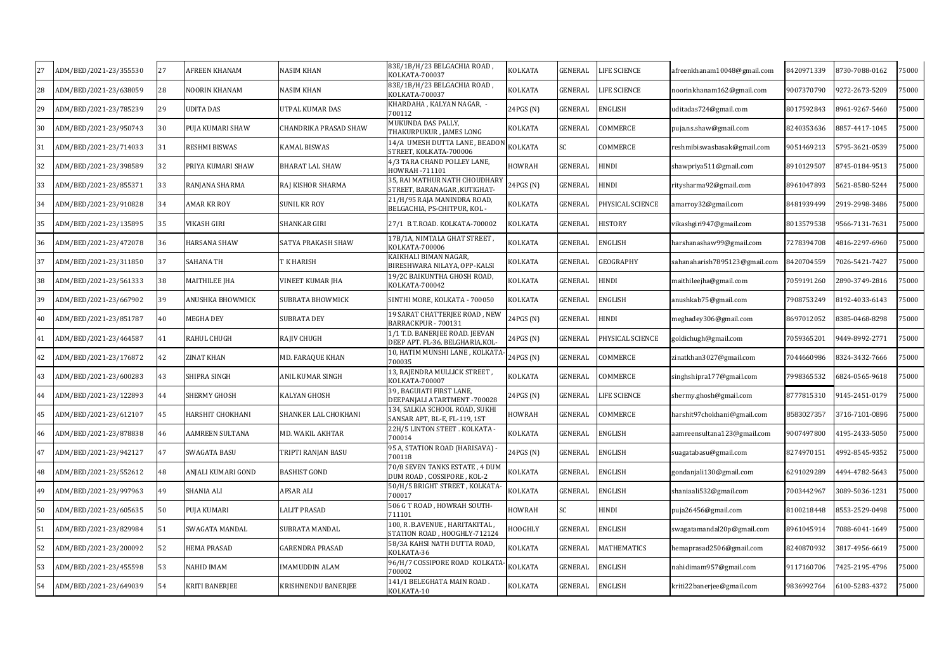|    |                        |    |                    |                              | 83E/1B/H/23 BELGACHIA ROAD,                                        |               |           |                    |                               |            |                |       |
|----|------------------------|----|--------------------|------------------------------|--------------------------------------------------------------------|---------------|-----------|--------------------|-------------------------------|------------|----------------|-------|
| 27 | ADM/BED/2021-23/355530 | 27 | AFREEN KHANAM      | <b>NASIM KHAN</b>            | KOLKATA-700037                                                     | KOLKATA       | GENERAL   | LIFE SCIENCE       | afreenkhanam10048@gmail.com   | 8420971339 | 8730-7088-0162 | 75000 |
| 28 | ADM/BED/2021-23/638059 | 28 | NOORIN KHANAM      | <b>NASIM KHAN</b>            | 83E/1B/H/23 BELGACHIA ROAD,<br>KOLKATA-700037                      | KOLKATA       | GENERAL   | <b>IFE SCIENCE</b> | noorinkhanam162@gmail.com     | 9007370790 | 9272-2673-5209 | 75000 |
| 29 | ADM/BED/2021-23/785239 | 29 | UDITA DAS          | UTPAL KUMAR DAS              | KHARDAHA, KALYAN NAGAR, -<br>700112                                | 24PGS (N)     | GENERAL   | ENGLISH            | uditadas724@gmail.com         | 8017592843 | 8961-9267-5460 | 75000 |
| 30 | ADM/BED/2021-23/950743 | 30 | PUJA KUMARI SHAW   | <b>CHANDRIKA PRASAD SHAW</b> | MUKUNDA DAS PALLY,<br>THAKURPUKUR , JAMES LONG                     | KOLKATA       | GENERAL   | COMMERCE           | puja.ns.shaw@gmail.com        | 8240353636 | 8857-4417-1045 | 75000 |
| 31 | ADM/BED/2021-23/714033 | 31 | RESHMI BISWAS      | <b>KAMAL BISWAS</b>          | 14/A UMESH DUTTA LANE, BEADON<br>STREET, KOLKATA-700006            | KOLKATA       | <b>SC</b> | COMMERCE           | reshmibiswasbasak@gmail.com   | 9051469213 | 5795-3621-0539 | 75000 |
| 32 | ADM/BED/2021-23/398589 | 32 | PRIYA KUMARI SHAW  | <b>BHARAT LAL SHAW</b>       | 4/3 TARA CHAND POLLEY LANE,<br>HOWRAH-711101                       | HOWRAH        | GENERAL   | HINDI              | shawpriya511@gmail.com        | 8910129507 | 8745-0184-9513 | 75000 |
| 33 | ADM/BED/2021-23/855371 | 33 | RANJANA SHARMA     | RAJ KISHOR SHARMA            | 35, RAI MATHUR NATH CHOUDHAR<br>STREET, BARANAGAR ,KUTIGHAT-       | 24PGS (N)     | GENERAL   | HINDI              | ritysharma92@gmail.com        | 8961047893 | 5621-8580-5244 | 75000 |
| 34 | ADM/BED/2021-23/910828 | 34 | AMAR KR ROY        | SUNIL KR ROY                 | 21/H/95 RAJA MANINDRA ROAD,<br>BELGACHIA, PS-CHITPUR, KOL-         | KOLKATA       | GENERAL   | PHYSICAL SCIENCE   | amarroy32@gmail.com           | 8481939499 | 2919-2998-3486 | 75000 |
| 35 | ADM/BED/2021-23/135895 | 35 | VIKASH GIRI        | <b>SHANKAR GIRI</b>          | 27/1 B.T.ROAD. KOLKATA-700002                                      | KOLKATA       | GENERAL   | HISTORY            | vikashgiri947@gmail.com       | 8013579538 | 9566-7131-7631 | 75000 |
| 36 | ADM/BED/2021-23/472078 | 36 | HARSANA SHAW       | SATYA PRAKASH SHAW           | 17B/1A, NIMTALA GHAT STREET,<br>KOLKATA-700006                     | KOLKATA       | GENERAL   | <b>ENGLISH</b>     | harshanashaw99@gmail.com      | 7278394708 | 4816-2297-6960 | 75000 |
| 37 | ADM/BED/2021-23/311850 | 37 | SAHANA TH          | T K HARISH                   | KAIKHALI BIMAN NAGAR,<br>BIRESHWARA NILAYA, OPP-KALSI              | KOLKATA       | GENERAL   | GEOGRAPHY          | sahanaharish7895123@gmail.com | 3420704559 | 7026-5421-7427 | 75000 |
| 38 | ADM/BED/2021-23/561333 | 38 | MAITHILEE JHA      | <b>VINEET KUMAR JHA</b>      | 19/2C BAIKUNTHA GHOSH ROAD,<br>KOLKATA-700042                      | KOLKATA       | GENERAL   | HINDI              | maithileejha@gmail.com        | 7059191260 | 2890-3749-2816 | 75000 |
| 39 | ADM/BED/2021-23/667902 | 39 | ANUSHKA BHOWMICK   | <b>SUBRATA BHOWMICK</b>      | SINTHI MORE, KOLKATA - 700050                                      | KOLKATA       | GENERAL   | ENGLISH            | anushkab75@gmail.com          | 7908753249 | 8192-4033-6143 | 75000 |
| 40 | ADM/BED/2021-23/851787 | 40 | MEGHA DEY          | <b>SUBRATA DEY</b>           | 19 SARAT CHATTERJEE ROAD, NEW<br>BARRACKPUR - 700131               | 24PGS (N)     | GENERAL   | HINDI              | meghadey306@gmail.com         | 8697012052 | 3385-0468-8298 | 75000 |
| 41 | ADM/BED/2021-23/464587 | 41 | RAHUL CHUGH        | <b>RAJIV CHUGH</b>           | 1/1 T.D. BANERJEE ROAD. JEEVAN<br>DEEP APT. FL-36, BELGHARIA, KOL- | 24PGS (N)     | GENERAL   | PHYSICAL SCIENCE   | goldichugh@gmail.com          | 7059365201 | 9449-8992-2771 | 75000 |
| 42 | ADM/BED/2021-23/176872 | 42 | ZINAT KHAN         | MD. FARAQUE KHAN             | 10, HATIM MUNSHI LANE, KOLKATA<br>700035                           | 24PGS (N)     | GENERAL   | COMMERCE           | zinatkhan3027@gmail.com       | 7044660986 | 8324-3432-7666 | 75000 |
| 43 | ADM/BED/2021-23/600283 | 43 | SHIPRA SINGH       | ANIL KUMAR SINGH             | 13, RAJENDRA MULLICK STREET,<br>KOLKATA-700007                     | KOLKATA       | GENERAL   | COMMERCE           | singhshipra177@gmail.com      | 7998365532 | 6824-0565-9618 | 75000 |
| 44 | ADM/BED/2021-23/122893 | 44 | SHERMY GHOSH       | <b>KALYAN GHOSH</b>          | 39, BAGUIATI FIRST LANE,<br>DEEPANJALI ATARTMENT -700028           | 24PGS (N)     | GENERAL   | LIFE SCIENCE       | shermy.ghosh@gmail.com        | 8777815310 | 9145-2451-0179 | 75000 |
| 45 | ADM/BED/2021-23/612107 | 45 | HARSHIT CHOKHANI   | SHANKER LAL CHOKHANI         | 134, SALKIA SCHOOL ROAD, SUKHI<br>SANSAR APT, BL-E, FL-119, 1ST    | HOWRAH        | GENERAL   | COMMERCE           | harshit97chokhani@gmail.com   | 8583027357 | 3716-7101-0896 | 75000 |
| 46 | ADM/BED/2021-23/878838 | 46 | AAMREEN SULTANA    | MD. WAKIL AKHTAR             | 22H/5 LINTON STEET . KOLKATA -<br>700014                           | KOLKATA       | GENERAL   | ENGLISH            | aamreensultana123@gmail.com   | 9007497800 | 4195-2433-5050 | 75000 |
| 47 | ADM/BED/2021-23/942127 | 47 | SWAGATA BASU       | TRIPTI RANJAN BASU           | 95 A, STATION ROAD (HARISAVA)<br>700118                            | 24PGS (N)     | GENERAL   | ENGLISH            | suagatabasu@gmail.com         | 8274970151 | 4992-8545-9352 | 75000 |
| 48 | ADM/BED/2021-23/552612 | 48 | ANJALI KUMARI GOND | <b>BASHIST GOND</b>          | 70/8 SEVEN TANKS ESTATE, 4 DUM<br>DUM ROAD , COSSIPORE , KOL-2     | KOLKATA       | GENERAL   | ENGLISH            | gondanjali130@gmail.com       | 6291029289 | 4494-4782-5643 | 75000 |
| 49 | ADM/BED/2021-23/997963 | 49 | SHANIA ALI         | AFSAR ALI                    | 50/H/5 BRIGHT STREET, KOLKATA<br>700017                            | KOLKATA       | GENERAL   | ENGLISH            | shaniaali532@gmail.com        | 7003442967 | 3089-5036-1231 | 75000 |
| 50 | ADM/BED/2021-23/605635 | 50 | PUJA KUMARI        | <b>LALIT PRASAD</b>          | 506 G T ROAD, HOWRAH SOUTH-<br>711101                              | <b>HOWRAH</b> | SC        | HINDI              | puja26456@gmail.com           | 8100218448 | 8553-2529-0498 | 75000 |
| 51 | ADM/BED/2021-23/829984 | 51 | SWAGATA MANDAL     | SUBRATA MANDAL               | 100, R.B.AVENUE, HARITAKITAL,<br>STATION ROAD , HOOGHLY-712124     | HOOGHLY       | GENERAL   | <b>ENGLISH</b>     | swagatamandal20p@gmail.com    | 8961045914 | 7088-6041-1649 | 75000 |
| 52 | ADM/BED/2021-23/200092 | 52 | HEMA PRASAD        | <b>GARENDRA PRASAD</b>       | 58/3A KAHSI NATH DUTTA ROAD,<br>KOLKATA-36                         | KOLKATA       | GENERAL   | MATHEMATICS        | hemaprasad2506@gmail.com      | 8240870932 | 3817-4956-6619 | 75000 |
| 53 | ADM/BED/2021-23/455598 | 53 | NAHID IMAM         | <b>IMAMUDDIN ALAM</b>        | 96/H/7 COSSIPORE ROAD KOLKAT/<br>700002                            | KOLKATA       | GENERAL   | ENGLISH            | nahidimam957@gmail.com        | 9117160706 | 7425-2195-4796 | 75000 |
| 54 | ADM/BED/2021-23/649039 |    | KRITI BANERJEE     | KRISHNENDU BANERJEE          | 141/1 BELEGHATA MAIN ROAD.<br>KOLKATA-10                           | KOLKATA       | GENERAL   | <b>ENGLISH</b>     | kriti22banerjee@gmail.com     | 9836992764 | 6100-5283-4372 | 75000 |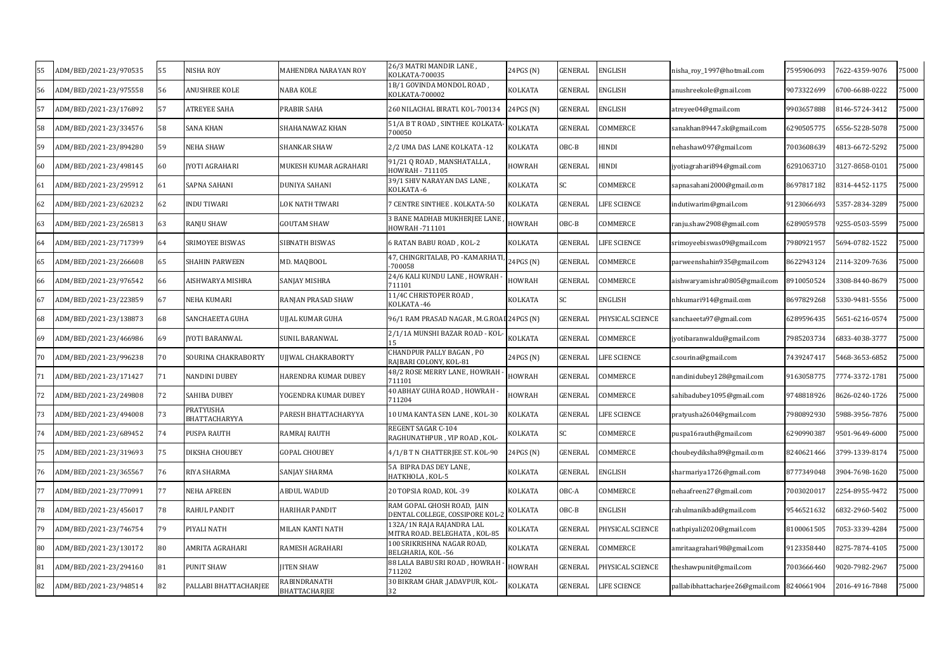| 55 | ADM/BED/2021-23/970535 | 55 | NISHA ROY                  | MAHENDRA NARAYAN ROY                 | 26/3 MATRI MANDIR LANE ,<br>KOLKATA-700035                   | 24PGS (N)      | GENERAL | ENGLISH                 | nisha_roy_1997@hotmail.com       | 7595906093 | 7622-4359-9076 | 75000 |
|----|------------------------|----|----------------------------|--------------------------------------|--------------------------------------------------------------|----------------|---------|-------------------------|----------------------------------|------------|----------------|-------|
| 56 | ADM/BED/2021-23/975558 | 56 | ANUSHREE KOLE              | NABA KOLE                            | 1B/1 GOVINDA MONDOL ROAD,<br>KOLKATA-700002                  | KOLKATA        | GENERAL | ENGLISH                 | anushreekole@gmail.com           | 9073322699 | 6700-6688-0222 | 75000 |
| 57 | ADM/BED/2021-23/176892 | 57 | <b>ATREYEE SAHA</b>        | PRABIR SAHA                          | 260 NILACHAL BIRATI. KOL-700134                              | 24PGS (N)      | GENERAL | <b>ENGLISH</b>          | atreyee04@gmail.com              | 9903657888 | 8146-5724-3412 | 75000 |
| 58 | ADM/BED/2021-23/334576 | 58 | SANA KHAN                  | SHAHANAWAZ KHAN                      | 51/A B T ROAD , SINTHEE KOLKATA<br>700050                    | KOLKATA        | GENERAL | COMMERCE                | sanakhan89447.sk@gmail.com       | 6290505775 | 6556-5228-5078 | 75000 |
| 59 | ADM/BED/2021-23/894280 | 59 | <b>NEHA SHAW</b>           | SHANKAR SHAW                         | 2/2 UMA DAS LANE KOLKATA -12                                 | KOLKATA        | OBC-B   | HINDI                   | nehashaw097@gmail.com            | 7003608639 | 4813-6672-5292 | 75000 |
| 60 | ADM/BED/2021-23/498145 | 60 | JYOTI AGRAHARI             | MUKESH KUMAR AGRAHARI                | 91/21 Q ROAD, MANSHATALLA,<br>HOWRAH - 711105                | <b>HOWRAH</b>  | GENERAL | <b>HINDI</b>            | jyotiagrahari894@gmail.com       | 6291063710 | 3127-8658-0101 | 75000 |
| 61 | ADM/BED/2021-23/295912 | 61 | SAPNA SAHANI               | DUNIYA SAHANI                        | 39/1 SHIV NARAYAN DAS LANE,<br>KOLKATA -6                    | KOLKATA        | SC      | COMMERCE                | sapnasahani2000@gmail.com        | 3697817182 | 8314-4452-1175 | 75000 |
| 62 | ADM/BED/2021-23/620232 | 62 | <b>INDU TIWARI</b>         | LOK NATH TIWARI                      | <b>CENTRE SINTHEE. KOLKATA-50</b>                            | KOLKATA        | GENERAL | <b>JIFE SCIENCE</b>     | indutiwarim@gmail.com            | 9123066693 | 5357-2834-3289 | 75000 |
| 63 | ADM/BED/2021-23/265813 | 63 | <b>RANJU SHAW</b>          | <b>GOUTAM SHAW</b>                   | 3 BANE MADHAB MUKHERJEE LANE<br>IOWRAH -711101               | <b>HOWRAH</b>  | OBC-B   | COMMERCE                | ranju.shaw2908@gmail.com         | 6289059578 | 9255-0503-5599 | 75000 |
| 64 | ADM/BED/2021-23/717399 | 64 | SRIMOYEE BISWAS            | SIBNATH BISWAS                       | 6 RATAN BABU ROAD , KOL-2                                    | KOLKATA        | GENERAL | <b>IFE SCIENCE</b>      | srimoyeebiswas09@gmail.com       | 7980921957 | 5694-0782-1522 | 75000 |
| 65 | ADM/BED/2021-23/266608 | 65 | SHAHIN PARWEEN             | MD. MAQBOOL                          | 47, CHINGRITALAB, PO -KAMARHATI<br>-700058                   | 24PGS (N)      | GENERAL | <b>COMMERCE</b>         | parweenshahin935@gmail.com       | 3622943124 | 2114-3209-7636 | 75000 |
| 66 | ADM/BED/2021-23/976542 | 66 | AISHWARYA MISHRA           | SANJAY MISHRA                        | 24/6 KALI KUNDU LANE , HOWRAH<br>711101                      | <b>HOWRAH</b>  | GENERAL | COMMERCE                | aishwaryamishra0805@gmail.com    | 8910050524 | 3308-8440-8679 | 75000 |
| 67 | ADM/BED/2021-23/223859 | 67 | NEHA KUMARI                | RANJAN PRASAD SHAW                   | 11/4C CHRISTOPER ROAD,<br>KOLKATA -46                        | KOLKATA        | SC      | <b>ENGLISH</b>          | nhkumari914@gmail.com            | 3697829268 | 5330-9481-5556 | 75000 |
| 68 | ADM/BED/2021-23/138873 | 68 | SANCHAEETA GUHA            | UJJAL KUMAR GUHA                     | 96/1 RAM PRASAD NAGAR , M.G.ROAI 24PGS (N)                   |                | GENERAL | <b>PHYSICAL SCIENCE</b> | sanchaeeta97@gmail.com           | 6289596435 | 5651-6216-0574 | '5000 |
| 69 | ADM/BED/2021-23/466986 | 69 | <b>JYOTI BARANWAL</b>      | <b>SUNIL BARANWAL</b>                | 2/1/1A MUNSHI BAZAR ROAD - KOL<br>15                         | <b>KOLKATA</b> | GENERAL | COMMERCE                | yotibaranwaldu@gmail.com         | 7985203734 | 6833-4038-3777 | 75000 |
| 70 | ADM/BED/2021-23/996238 | 70 | SOURINA CHAKRABORTY        | UJJWAL CHAKRABORTY                   | CHANDPUR PALLY BAGAN , PO<br>RAJBARI COLONY, KOL-81          | 24PGS (N)      | GENERAL | <b>JFE SCIENCE</b>      | .sourina@gmail.com               | 7439247417 | 5468-3653-6852 | 75000 |
| 71 | ADM/BED/2021-23/171427 | 71 | <b>NANDINI DUBEY</b>       | HARENDRA KUMAR DUBEY                 | 48/2 ROSE MERRY LANE , HOWRAH<br>711101                      | <b>HOWRAH</b>  | GENERAL | <b>COMMERCE</b>         | nandinidubey128@gmail.com        | 9163058775 | 7774-3372-1781 | 75000 |
| 72 | ADM/BED/2021-23/249808 | 72 | SAHIBA DUBEY               | YOGENDRA KUMAR DUBEY                 | 40 ABHAY GUHA ROAD, HOWRAH -<br>711204                       | HOWRAH         | GENERAL | COMMERCE                | sahibadubey1095@gmail.com        | 9748818926 | 8626-0240-1726 | 75000 |
| 73 | ADM/BED/2021-23/494008 | 73 | PRATYUSHA<br>BHATTACHARYYA | PARESH BHATTACHARYYA                 | 10 UMA KANTA SEN LANE , KOL-30                               | <b>KOLKATA</b> | GENERAL | LIFE SCIENCE            | pratyusha2604@gmail.com          | 7980892930 | 5988-3956-7876 | 75000 |
| 74 | ADM/BED/2021-23/689452 | 74 | PUSPA RAUTH                | RAMRAJ RAUTH                         | REGENT SAGAR C-104<br>RAGHUNATHPUR , VIP ROAD , KOL-         | KOLKATA        | SC.     | COMMERCE                | puspa16rauth@gmail.com           | 6290990387 | 9501-9649-6000 | 75000 |
| 75 | ADM/BED/2021-23/319693 | 75 | DIKSHA CHOUBEY             | <b>GOPAL CHOUBEY</b>                 | 4/1/B T N CHATTERIEE ST. KOL-90                              | 24PGS (N)      | GENERAL | COMMERCE                | choubeydiksha89@gmail.com        | 3240621466 | 3799-1339-8174 | 75000 |
| 76 | ADM/BED/2021-23/365567 | 76 | RIYA SHARMA                | SANJAY SHARMA                        | 5A BIPRA DAS DEY LANE,<br>HATKHOLA , KOL-5                   | <b>KOLKATA</b> | GENERAL | ENGLISH                 | sharmariya1726@gmail.com         | 3777349048 | 3904-7698-1620 | 75000 |
| 77 | ADM/BED/2021-23/770991 | 77 | <b>NEHA AFREEN</b>         | ABDUL WADUD                          | 20 TOPSIA ROAD, KOL-39                                       | <b>KOLKATA</b> | OBC-A   | COMMERCE                | nehaafreen27@gmail.com           | 7003020017 | 2254-8955-9472 | 75000 |
| 78 | ADM/BED/2021-23/456017 | 78 | RAHUL PANDIT               | HARIHAR PANDIT                       | RAM GOPAL GHOSH ROAD, JAIN<br>DENTAL COLLEGE, COSSIPORE KOL- | KOLKATA        | OBC-B   | ENGLISH                 | rahulmanikbad@gmail.com          | 9546521632 | 6832-2960-5402 | 75000 |
| 79 | ADM/BED/2021-23/746754 | 79 | PIYALI NATH                | MILAN KANTI NATH                     | 132A/1N RAJA RAJANDRA LAL<br>MITRA ROAD. BELEGHATA, KOL-85   | KOLKATA        | GENERAL | PHYSICAL SCIENCE        | nathpiyali2020@gmail.com         | 3100061505 | 7053-3339-4284 | 75000 |
| 80 | ADM/BED/2021-23/130172 | 80 | AMRITA AGRAHARI            | RAMESH AGRAHARI                      | 100 SRIKRISHNA NAGAR ROAD,<br>BELGHARIA, KOL -56             | KOLKATA        | GENERAL | COMMERCE                | amritaagrahari98@gmail.com       | 9123358440 | 8275-7874-4105 | 75000 |
| 81 | ADM/BED/2021-23/294160 | 81 | PUNIT SHAW                 | <b>IITEN SHAW</b>                    | 88 LALA BABU SRI ROAD, HOWRAH<br>711202                      | <b>HOWRAH</b>  | GENERAL | PHYSICAL SCIENCE        | theshawpunit@gmail.com           | 7003666460 | 9020-7982-2967 | 75000 |
| 82 | ADM/BED/2021-23/948514 | 82 | PALLABI BHATTACHARJEE      | RABINDRANATH<br><b>BHATTACHARJEE</b> | 30 BIKRAM GHAR ,JADAVPUR, KOL-<br>32                         | KOLKATA        | GENERAL | LIFE SCIENCE            | pallabibhattacharjee26@gmail.com | 8240661904 | 2016-4916-7848 | 75000 |